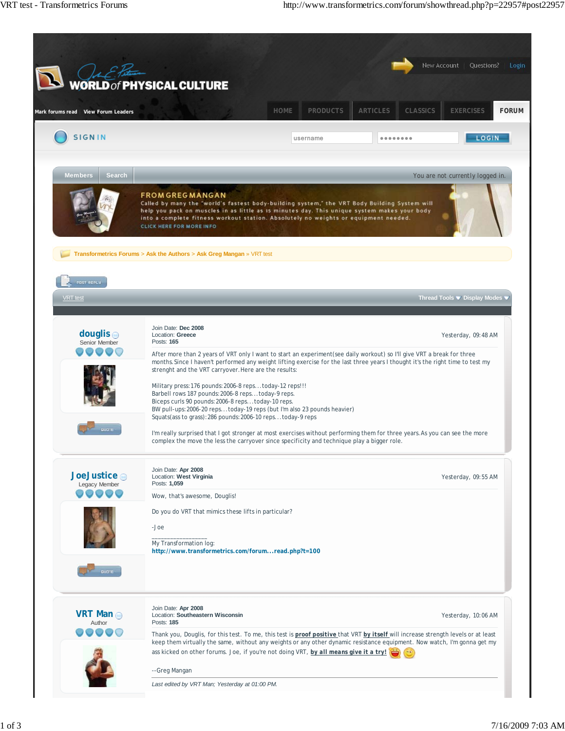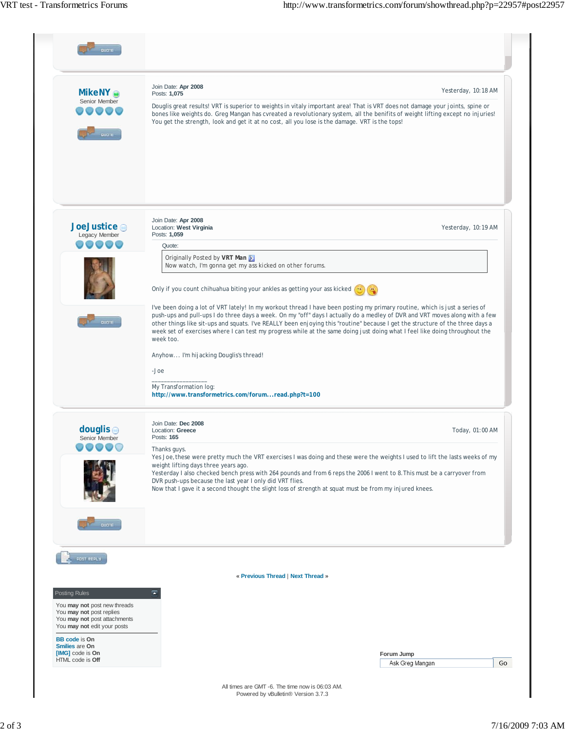| <b>MikeNY</b><br>Posts: 1,075<br>Senior Member<br>Douglis great results! VRT is superior to weights in vitaly important area! That is VRT does not damage your joints, spine or<br>bones like weights do. Greg Mangan has cvreated a revolutionary system, all the benifits of weight lifting except no injuries!<br>You get the strength, look and get it at no cost, all you lose is the damage. VRT is the tops!<br><b>BUOTE</b><br>Join Date: Apr 2008<br>JoeJustice o<br>Location: West Virginia<br>Posts: 1,059<br>Legacy Member<br>$\circ$ $\circ$<br>Quote:<br>Originally Posted by VRT Man<br>Now watch, I'm gonna get my ass kicked on other forums.<br>Only if you count chihuahua biting your ankles as getting your ass kicked<br>quare<br>week too.<br>Anyhow I'm hijacking Douglis's thread!<br>-Joe<br>My Transformation log:<br>http://www.transformetrics.com/forumread.php?t=100<br>Join Date: Dec 2008<br>douglis $\odot$<br>Location: Greece<br>Posts: 165<br>Senior Member<br>Thanks guys.<br>Yes Joe, these were pretty much the VRT exercises I was doing and these were the weights I used to lift the lasts weeks of my<br>weight lifting days three years ago.<br>Yesterday I also checked bench press with 264 pounds and from 6 reps the 2006 I went to 8. This must be a carryover from<br>DVR push-ups because the last year I only did VRT flies.<br>Now that I gave it a second thought the slight loss of strength at squat must be from my injured knees.<br>quare<br>POST REPLY<br>« Previous Thread   Next Thread »<br>Ξ<br>Posting Rules |                              | Join Date: Apr 2008                                                                                                                                                                                                                                                                                                                                                                                                                                                                                                         |                     |  |
|--------------------------------------------------------------------------------------------------------------------------------------------------------------------------------------------------------------------------------------------------------------------------------------------------------------------------------------------------------------------------------------------------------------------------------------------------------------------------------------------------------------------------------------------------------------------------------------------------------------------------------------------------------------------------------------------------------------------------------------------------------------------------------------------------------------------------------------------------------------------------------------------------------------------------------------------------------------------------------------------------------------------------------------------------------------------------------------------------------------------------------------------------------------------------------------------------------------------------------------------------------------------------------------------------------------------------------------------------------------------------------------------------------------------------------------------------------------------------------------------------------------------------------------------------------------------------------|------------------------------|-----------------------------------------------------------------------------------------------------------------------------------------------------------------------------------------------------------------------------------------------------------------------------------------------------------------------------------------------------------------------------------------------------------------------------------------------------------------------------------------------------------------------------|---------------------|--|
|                                                                                                                                                                                                                                                                                                                                                                                                                                                                                                                                                                                                                                                                                                                                                                                                                                                                                                                                                                                                                                                                                                                                                                                                                                                                                                                                                                                                                                                                                                                                                                                |                              |                                                                                                                                                                                                                                                                                                                                                                                                                                                                                                                             | Yesterday, 10:18 AM |  |
|                                                                                                                                                                                                                                                                                                                                                                                                                                                                                                                                                                                                                                                                                                                                                                                                                                                                                                                                                                                                                                                                                                                                                                                                                                                                                                                                                                                                                                                                                                                                                                                |                              |                                                                                                                                                                                                                                                                                                                                                                                                                                                                                                                             | Yesterday, 10:19 AM |  |
|                                                                                                                                                                                                                                                                                                                                                                                                                                                                                                                                                                                                                                                                                                                                                                                                                                                                                                                                                                                                                                                                                                                                                                                                                                                                                                                                                                                                                                                                                                                                                                                |                              |                                                                                                                                                                                                                                                                                                                                                                                                                                                                                                                             |                     |  |
|                                                                                                                                                                                                                                                                                                                                                                                                                                                                                                                                                                                                                                                                                                                                                                                                                                                                                                                                                                                                                                                                                                                                                                                                                                                                                                                                                                                                                                                                                                                                                                                |                              |                                                                                                                                                                                                                                                                                                                                                                                                                                                                                                                             |                     |  |
|                                                                                                                                                                                                                                                                                                                                                                                                                                                                                                                                                                                                                                                                                                                                                                                                                                                                                                                                                                                                                                                                                                                                                                                                                                                                                                                                                                                                                                                                                                                                                                                |                              | I've been doing a lot of VRT lately! In my workout thread I have been posting my primary routine, which is just a series of<br>push-ups and pull-ups I do three days a week. On my "off" days I actually do a medley of DVR and VRT moves along with a few<br>other things like sit-ups and squats. I've REALLY been enjoying this "routine" because I get the structure of the three days a<br>week set of exercises where I can test my progress while at the same doing just doing what I feel like doing throughout the |                     |  |
|                                                                                                                                                                                                                                                                                                                                                                                                                                                                                                                                                                                                                                                                                                                                                                                                                                                                                                                                                                                                                                                                                                                                                                                                                                                                                                                                                                                                                                                                                                                                                                                |                              |                                                                                                                                                                                                                                                                                                                                                                                                                                                                                                                             |                     |  |
|                                                                                                                                                                                                                                                                                                                                                                                                                                                                                                                                                                                                                                                                                                                                                                                                                                                                                                                                                                                                                                                                                                                                                                                                                                                                                                                                                                                                                                                                                                                                                                                |                              |                                                                                                                                                                                                                                                                                                                                                                                                                                                                                                                             |                     |  |
|                                                                                                                                                                                                                                                                                                                                                                                                                                                                                                                                                                                                                                                                                                                                                                                                                                                                                                                                                                                                                                                                                                                                                                                                                                                                                                                                                                                                                                                                                                                                                                                |                              |                                                                                                                                                                                                                                                                                                                                                                                                                                                                                                                             | Today, 01:00 AM     |  |
|                                                                                                                                                                                                                                                                                                                                                                                                                                                                                                                                                                                                                                                                                                                                                                                                                                                                                                                                                                                                                                                                                                                                                                                                                                                                                                                                                                                                                                                                                                                                                                                |                              |                                                                                                                                                                                                                                                                                                                                                                                                                                                                                                                             |                     |  |
|                                                                                                                                                                                                                                                                                                                                                                                                                                                                                                                                                                                                                                                                                                                                                                                                                                                                                                                                                                                                                                                                                                                                                                                                                                                                                                                                                                                                                                                                                                                                                                                |                              |                                                                                                                                                                                                                                                                                                                                                                                                                                                                                                                             |                     |  |
|                                                                                                                                                                                                                                                                                                                                                                                                                                                                                                                                                                                                                                                                                                                                                                                                                                                                                                                                                                                                                                                                                                                                                                                                                                                                                                                                                                                                                                                                                                                                                                                |                              |                                                                                                                                                                                                                                                                                                                                                                                                                                                                                                                             |                     |  |
| You may not post replies<br>You may not post attachments<br>You may not edit your posts                                                                                                                                                                                                                                                                                                                                                                                                                                                                                                                                                                                                                                                                                                                                                                                                                                                                                                                                                                                                                                                                                                                                                                                                                                                                                                                                                                                                                                                                                        |                              |                                                                                                                                                                                                                                                                                                                                                                                                                                                                                                                             |                     |  |
| <b>BB</b> code is On<br>Smilies are On<br>[IMG] code is On<br>Forum Jump                                                                                                                                                                                                                                                                                                                                                                                                                                                                                                                                                                                                                                                                                                                                                                                                                                                                                                                                                                                                                                                                                                                                                                                                                                                                                                                                                                                                                                                                                                       | You may not post new threads |                                                                                                                                                                                                                                                                                                                                                                                                                                                                                                                             |                     |  |